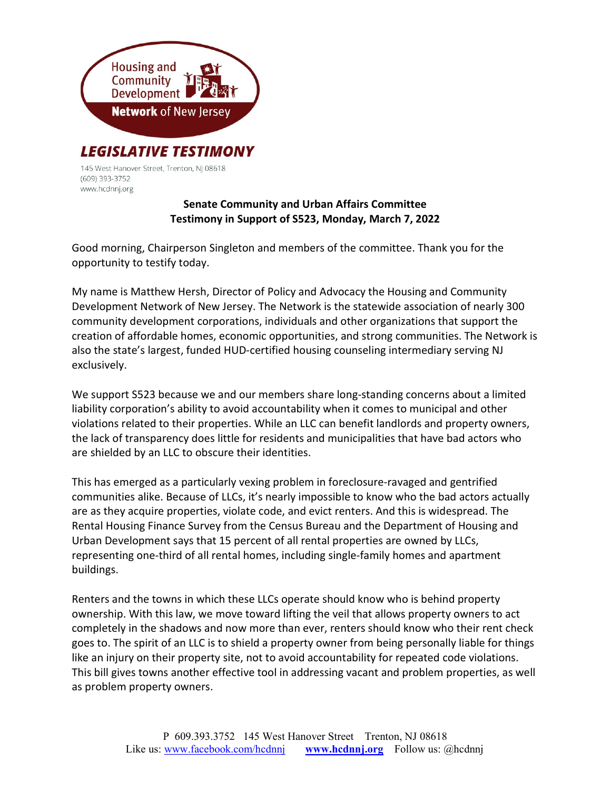

145 West Hanover Street, Trenton, NJ 08618 (609) 393-3752 www.hcdnnj.org

## Senate Community and Urban Affairs Committee Testimony in Support of S523, Monday, March 7, 2022

Good morning, Chairperson Singleton and members of the committee. Thank you for the opportunity to testify today.

My name is Matthew Hersh, Director of Policy and Advocacy the Housing and Community Development Network of New Jersey. The Network is the statewide association of nearly 300 community development corporations, individuals and other organizations that support the creation of affordable homes, economic opportunities, and strong communities. The Network is also the state's largest, funded HUD-certified housing counseling intermediary serving NJ exclusively.

We support S523 because we and our members share long-standing concerns about a limited liability corporation's ability to avoid accountability when it comes to municipal and other violations related to their properties. While an LLC can benefit landlords and property owners, the lack of transparency does little for residents and municipalities that have bad actors who are shielded by an LLC to obscure their identities.

This has emerged as a particularly vexing problem in foreclosure-ravaged and gentrified communities alike. Because of LLCs, it's nearly impossible to know who the bad actors actually are as they acquire properties, violate code, and evict renters. And this is widespread. The Rental Housing Finance Survey from the Census Bureau and the Department of Housing and Urban Development says that 15 percent of all rental properties are owned by LLCs, representing one-third of all rental homes, including single-family homes and apartment buildings.

Renters and the towns in which these LLCs operate should know who is behind property ownership. With this law, we move toward lifting the veil that allows property owners to act completely in the shadows and now more than ever, renters should know who their rent check goes to. The spirit of an LLC is to shield a property owner from being personally liable for things like an injury on their property site, not to avoid accountability for repeated code violations. This bill gives towns another effective tool in addressing vacant and problem properties, as well as problem property owners.